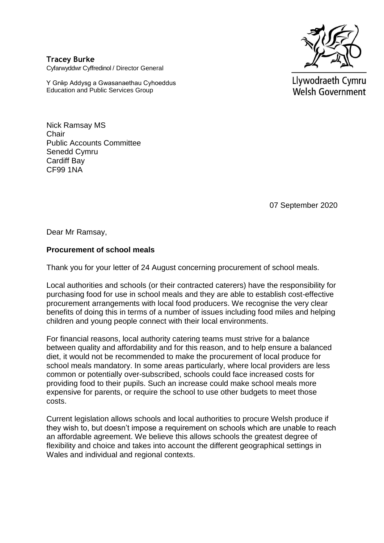

**Tracey Burke** Cyfarwyddwr Cyffredinol / Director General

Y Grŵp Addysg a Gwasanaethau Cyhoeddus Education and Public Services Group

Llywodraeth Cymru **Welsh Government** 

Nick Ramsay MS **Chair** Public Accounts Committee Senedd Cymru Cardiff Bay CF99 1NA

07 September 2020

Dear Mr Ramsay,

## **Procurement of school meals**

Thank you for your letter of 24 August concerning procurement of school meals.

Local authorities and schools (or their contracted caterers) have the responsibility for purchasing food for use in school meals and they are able to establish cost-effective procurement arrangements with local food producers. We recognise the very clear benefits of doing this in terms of a number of issues including food miles and helping children and young people connect with their local environments.

For financial reasons, local authority catering teams must strive for a balance between quality and affordability and for this reason, and to help ensure a balanced diet, it would not be recommended to make the procurement of local produce for school meals mandatory. In some areas particularly, where local providers are less common or potentially over-subscribed, schools could face increased costs for providing food to their pupils. Such an increase could make school meals more expensive for parents, or require the school to use other budgets to meet those costs.

Current legislation allows schools and local authorities to procure Welsh produce if they wish to, but doesn't impose a requirement on schools which are unable to reach an affordable agreement. We believe this allows schools the greatest degree of flexibility and choice and takes into account the different geographical settings in Wales and individual and regional contexts.